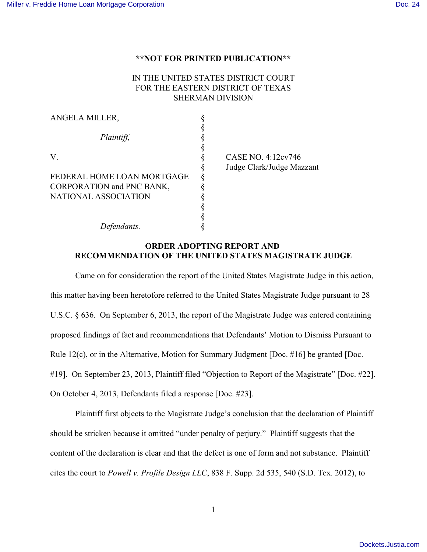## **\*\*NOT FOR PRINTED PUBLICATION\*\***

## IN THE UNITED STATES DISTRICT COURT FOR THE EASTERN DISTRICT OF TEXAS SHERMAN DIVISION

| ANGELA MILLER,             |                           |
|----------------------------|---------------------------|
|                            |                           |
| Plaintiff,                 |                           |
|                            |                           |
| V.                         | CASE NO. 4:12cv746        |
|                            | Judge Clark/Judge Mazzant |
| FEDERAL HOME LOAN MORTGAGE |                           |
| CORPORATION and PNC BANK,  |                           |
| NATIONAL ASSOCIATION       |                           |
|                            |                           |
|                            |                           |
| Defendants.                |                           |

## **ORDER ADOPTING REPORT AND RECOMMENDATION OF THE UNITED STATES MAGISTRATE JUDGE**

Came on for consideration the report of the United States Magistrate Judge in this action, this matter having been heretofore referred to the United States Magistrate Judge pursuant to 28 U.S.C. § 636. On September 6, 2013, the report of the Magistrate Judge was entered containing proposed findings of fact and recommendations that Defendants' Motion to Dismiss Pursuant to Rule 12(c), or in the Alternative, Motion for Summary Judgment [Doc. #16] be granted [Doc. #19]. On September 23, 2013, Plaintiff filed "Objection to Report of the Magistrate" [Doc. #22]. On October 4, 2013, Defendants filed a response [Doc. #23].

Plaintiff first objects to the Magistrate Judge's conclusion that the declaration of Plaintiff should be stricken because it omitted "under penalty of perjury." Plaintiff suggests that the content of the declaration is clear and that the defect is one of form and not substance. Plaintiff cites the court to *Powell v. Profile Design LLC*, 838 F. Supp. 2d 535, 540 (S.D. Tex. 2012), to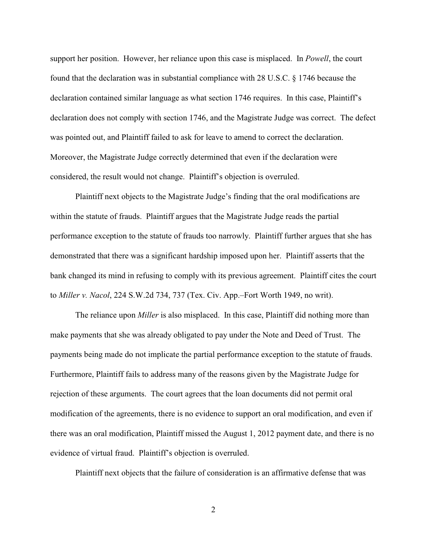support her position. However, her reliance upon this case is misplaced. In *Powell*, the court found that the declaration was in substantial compliance with 28 U.S.C. § 1746 because the declaration contained similar language as what section 1746 requires. In this case, Plaintiff's declaration does not comply with section 1746, and the Magistrate Judge was correct. The defect was pointed out, and Plaintiff failed to ask for leave to amend to correct the declaration. Moreover, the Magistrate Judge correctly determined that even if the declaration were considered, the result would not change. Plaintiff's objection is overruled.

Plaintiff next objects to the Magistrate Judge's finding that the oral modifications are within the statute of frauds. Plaintiff argues that the Magistrate Judge reads the partial performance exception to the statute of frauds too narrowly. Plaintiff further argues that she has demonstrated that there was a significant hardship imposed upon her. Plaintiff asserts that the bank changed its mind in refusing to comply with its previous agreement. Plaintiff cites the court to *Miller v. Nacol*, 224 S.W.2d 734, 737 (Tex. Civ. App.–Fort Worth 1949, no writ).

The reliance upon *Miller* is also misplaced. In this case, Plaintiff did nothing more than make payments that she was already obligated to pay under the Note and Deed of Trust. The payments being made do not implicate the partial performance exception to the statute of frauds. Furthermore, Plaintiff fails to address many of the reasons given by the Magistrate Judge for rejection of these arguments. The court agrees that the loan documents did not permit oral modification of the agreements, there is no evidence to support an oral modification, and even if there was an oral modification, Plaintiff missed the August 1, 2012 payment date, and there is no evidence of virtual fraud. Plaintiff's objection is overruled.

Plaintiff next objects that the failure of consideration is an affirmative defense that was

2